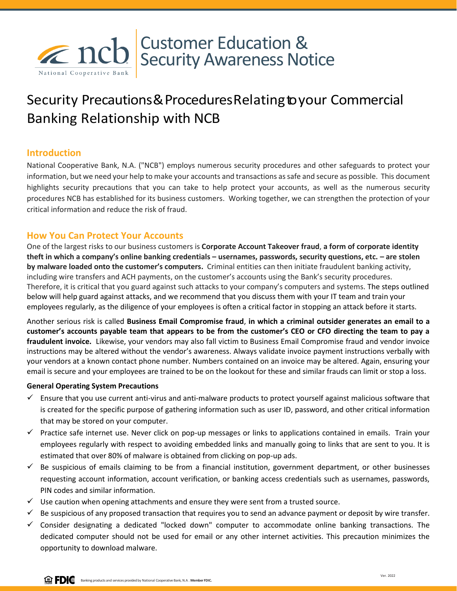

# Security Precautions&ProceduresRelatingtoyour Commercial Banking Relationship with NCB

## **Introduction**

National Cooperative Bank, N.A. ("NCB") employs numerous security procedures and other safeguards to protect your information, but we need your help to make your accounts and transactions as safe and secure as possible. This document highlights security precautions that you can take to help protect your accounts, as well as the numerous security procedures NCB has established for its business customers. Working together, we can strengthen the protection of your critical information and reduce the risk of fraud.

## **How You Can Protect Your Accounts**

One of the largest risks to our business customers is **Corporate Account Takeover fraud**, **a form of corporate identity theft in which a company's online banking credentials – usernames, passwords, security questions, etc. – are stolen by malware loaded onto the customer's computers.** Criminal entities can then initiate fraudulent banking activity, including wire transfers and ACH payments, on the customer's accounts using the Bank's security procedures. Therefore, it is critical that you guard against such attacks to your company's computers and systems. The steps outlined below will help guard against attacks, and we recommend that you discuss them with your IT team and train your employees regularly, as the diligence of your employees is often a critical factor in stopping an attack before it starts.

Another serious risk is called **Business Email Compromise fraud**, **in which a criminal outsider generates an email to a customer's accounts payable team that appears to be from the customer's CEO or CFO directing the team to pay a fraudulent invoice.** Likewise, your vendors may also fall victim to Business Email Compromise fraud and vendor invoice instructions may be altered without the vendor's awareness. Always validate invoice payment instructions verbally with your vendors at a known contact phone number. Numbers contained on an invoice may be altered. Again, ensuring your email is secure and your employees are trained to be on the lookout for these and similar frauds can limit or stop a loss.

## **General Operating System Precautions**

- $\checkmark$  Ensure that you use current anti-virus and anti-malware products to protect yourself against malicious software that is created for the specific purpose of gathering information such as user ID, password, and other critical information that may be stored on your computer.
- ✓ Practice safe internet use. Never click on pop-up messages or links to applications contained in emails. Train your employees regularly with respect to avoiding embedded links and manually going to links that are sent to you. It is estimated that over 80% of malware is obtained from clicking on pop-up ads.
- $\checkmark$  Be suspicious of emails claiming to be from a financial institution, government department, or other businesses requesting account information, account verification, or banking access credentials such as usernames, passwords, PIN codes and similar information.
- $\checkmark$  Use caution when opening attachments and ensure they were sent from a trusted source.
- $\checkmark$  Be suspicious of any proposed transaction that requires you to send an advance payment or deposit by wire transfer.
- ✓ Consider designating a dedicated "locked down" computer to accommodate online banking transactions. The dedicated computer should not be used for email or any other internet activities. This precaution minimizes the opportunity to download malware.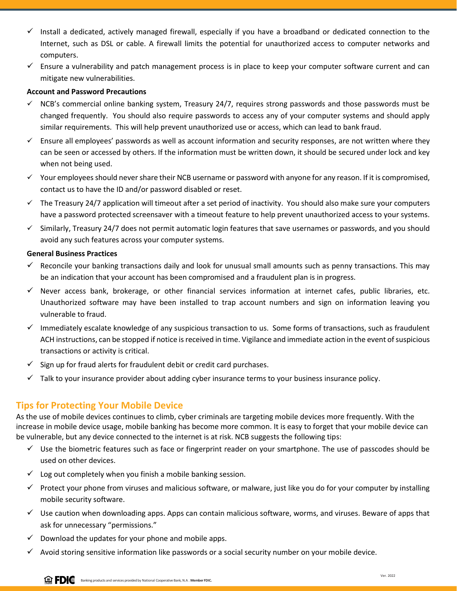- ✓ Install a dedicated, actively managed firewall, especially if you have a broadband or dedicated connection to the Internet, such as DSL or cable. A firewall limits the potential for unauthorized access to computer networks and computers.
- ✓ Ensure a vulnerability and patch management process is in place to keep your computer software current and can mitigate new vulnerabilities.

### **Account and Password Precautions**

- $\checkmark$  NCB's commercial online banking system, Treasury 24/7, requires strong passwords and those passwords must be changed frequently. You should also require passwords to access any of your computer systems and should apply similar requirements. This will help prevent unauthorized use or access, which can lead to bank fraud.
- $\checkmark$  Ensure all employees' passwords as well as account information and security responses, are not written where they can be seen or accessed by others. If the information must be written down, it should be secured under lock and key when not being used.
- $\checkmark$  Your employees should never share their NCB username or password with anyone for any reason. If it is compromised, contact us to have the ID and/or password disabled or reset.
- $\checkmark$  The Treasury 24/7 application will timeout after a set period of inactivity. You should also make sure your computers have a password protected screensaver with a timeout feature to help prevent unauthorized access to your systems.
- ✓ Similarly, Treasury 24/7 does not permit automatic login features that save usernames or passwords, and you should avoid any such features across your computer systems.

#### **General Business Practices**

- Reconcile your banking transactions daily and look for unusual small amounts such as penny transactions. This may be an indication that your account has been compromised and a fraudulent plan is in progress.
- ✓ Never access bank, brokerage, or other financial services information at internet cafes, public libraries, etc. Unauthorized software may have been installed to trap account numbers and sign on information leaving you vulnerable to fraud.
- ✓ Immediately escalate knowledge of any suspicious transaction to us. Some forms of transactions, such as fraudulent ACH instructions, can be stopped if notice is received in time. Vigilance and immediate action in the event of suspicious transactions or activity is critical.
- $\checkmark$  Sign up for fraud alerts for fraudulent debit or credit card purchases.
- $\checkmark$  Talk to your insurance provider about adding cyber insurance terms to your business insurance policy.

# **Tips for Protecting Your Mobile Device**

As the use of mobile devices continues to climb, cyber criminals are targeting mobile devices more frequently. With the increase in mobile device usage, mobile banking has become more common. It is easy to forget that your mobile device can be vulnerable, but any device connected to the internet is at risk. NCB suggests the following tips:

- $\checkmark$  Use the biometric features such as face or fingerprint reader on your smartphone. The use of passcodes should be used on other devices.
- $\checkmark$  Log out completely when you finish a mobile banking session.
- $\checkmark$  Protect your phone from viruses and malicious software, or malware, just like you do for your computer by installing mobile security software.
- $\checkmark$  Use caution when downloading apps. Apps can contain malicious software, worms, and viruses. Beware of apps that ask for unnecessary "permissions."
- $\checkmark$  Download the updates for your phone and mobile apps.
- ✓ Avoid storing sensitive information like passwords or a social security number on your mobile device.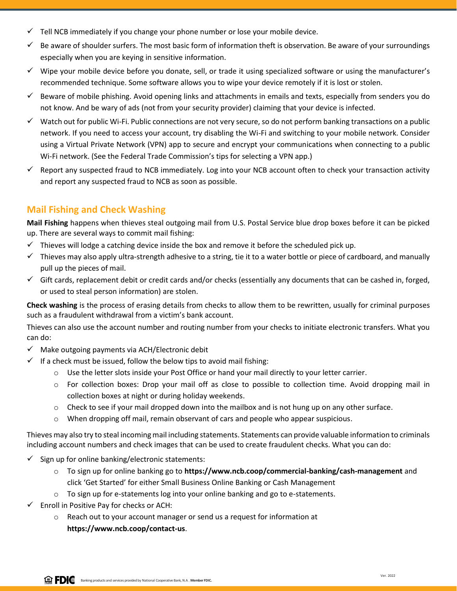- $\checkmark$  Tell NCB immediately if you change your phone number or lose your mobile device.
- $\checkmark$  Be aware of shoulder surfers. The most basic form of information theft is observation. Be aware of your surroundings especially when you are keying in sensitive information.
- ✓ Wipe your mobile device before you donate, sell, or trade it using specialized software or using the manufacturer's recommended technique. Some software allows you to wipe your device remotely if it is lost or stolen.
- $\checkmark$  Beware of mobile phishing. Avoid opening links and attachments in emails and texts, especially from senders you do not know. And be wary of ads (not from your security provider) claiming that your device is infected.
- $\checkmark$  Watch out for public Wi-Fi. Public connections are not very secure, so do not perform banking transactions on a public network. If you need to access your account, try disabling the Wi-Fi and switching to your mobile network. Consider using a Virtual Private Network (VPN) app to secure and encrypt your communications when connecting to a public Wi-Fi network. (See the Federal Trade Commission's tips for selecting a VPN app.)
- $\checkmark$  Report any suspected fraud to NCB immediately. Log into your NCB account often to check your transaction activity and report any suspected fraud to NCB as soon as possible.

# **Mail Fishing and Check Washing**

**Mail Fishing** happens when thieves steal outgoing mail from U.S. Postal Service blue drop boxes before it can be picked up. There are several ways to commit mail fishing:

- $\checkmark$  Thieves will lodge a catching device inside the box and remove it before the scheduled pick up.
- $\checkmark$  Thieves may also apply ultra-strength adhesive to a string, tie it to a water bottle or piece of cardboard, and manually pull up the pieces of mail.
- $\checkmark$  Gift cards, replacement debit or credit cards and/or checks (essentially any documents that can be cashed in, forged, or used to steal person information) are stolen.

**Check washing** is the process of erasing details from checks to allow them to be rewritten, usually for criminal purposes such as a fraudulent withdrawal from a victim's bank account.

Thieves can also use the account number and routing number from your checks to initiate electronic transfers. What you can do:

- $\checkmark$  Make outgoing payments via ACH/Electronic debit
- $\checkmark$  If a check must be issued, follow the below tips to avoid mail fishing:
	- $\circ$  Use the letter slots inside your Post Office or hand your mail directly to your letter carrier.
	- $\circ$  For collection boxes: Drop your mail off as close to possible to collection time. Avoid dropping mail in collection boxes at night or during holiday weekends.
	- o Check to see if your mail dropped down into the mailbox and is not hung up on any other surface.
	- o When dropping off mail, remain observant of cars and people who appear suspicious.

Thieves may also try to steal incoming mail including statements. Statements can provide valuable information to criminals including account numbers and check images that can be used to create fraudulent checks. What you can do:

- $\checkmark$  Sign up for online banking/electronic statements:
	- o To sign up for online banking go to **https://www.ncb.coop/commercial-banking/cash-management** and click 'Get Started' for either Small Business Online Banking or Cash Management
	- $\circ$  To sign up for e-statements log into your online banking and go to e-statements.
- $\checkmark$  Enroll in Positive Pay for checks or ACH:
	- o Reach out to your account manager or send us a request for information at **https://www.ncb.coop/contact-us**.